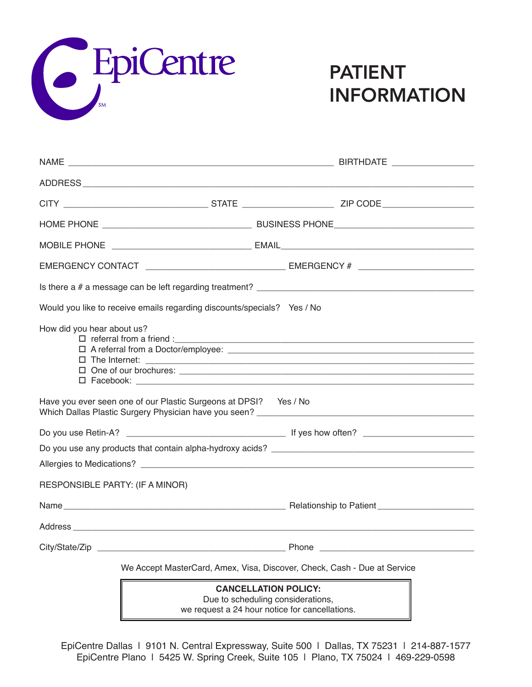

## PATIENT INFORMATION

|                                                                          | Would you like to receive emails regarding discounts/specials? Yes / No |                                                                  |  |  |
|--------------------------------------------------------------------------|-------------------------------------------------------------------------|------------------------------------------------------------------|--|--|
| How did you hear about us?                                               |                                                                         |                                                                  |  |  |
|                                                                          | Have you ever seen one of our Plastic Surgeons at DPSI? Yes / No        |                                                                  |  |  |
|                                                                          |                                                                         |                                                                  |  |  |
|                                                                          |                                                                         |                                                                  |  |  |
| RESPONSIBLE PARTY: (IF A MINOR)                                          |                                                                         |                                                                  |  |  |
|                                                                          |                                                                         |                                                                  |  |  |
|                                                                          |                                                                         |                                                                  |  |  |
|                                                                          |                                                                         |                                                                  |  |  |
| We Accept MasterCard, Amex, Visa, Discover, Check, Cash - Due at Service |                                                                         |                                                                  |  |  |
|                                                                          |                                                                         | <b>CANCELLATION POLICY:</b><br>Due to scheduling considerations, |  |  |

we request a 24 hour notice for cancellations.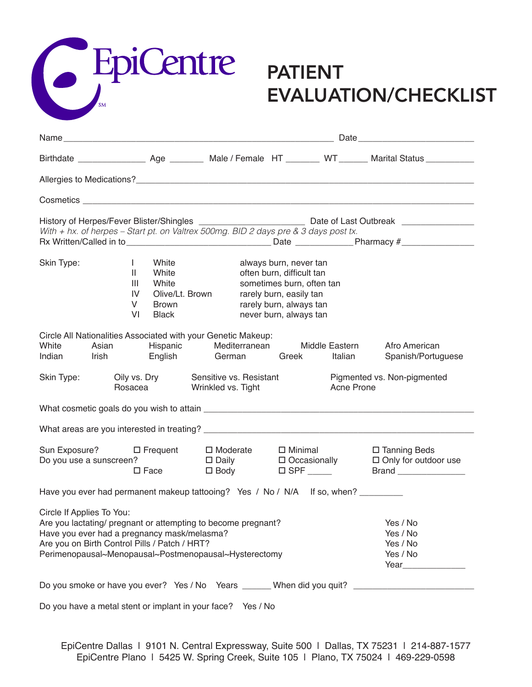

## EVALUATION/CHECKLIST

| With + hx. of herpes - Start pt. on Valtrex 500mg. BID 2 days pre & 3 days post tx.                                                                                                                                                                 |                                                                                    |                                                                         |                                                                                                                                                                  |                                                                    | Rx Written/Called in to___________________________________Date _________________Pharmacy #____________________ |
|-----------------------------------------------------------------------------------------------------------------------------------------------------------------------------------------------------------------------------------------------------|------------------------------------------------------------------------------------|-------------------------------------------------------------------------|------------------------------------------------------------------------------------------------------------------------------------------------------------------|--------------------------------------------------------------------|----------------------------------------------------------------------------------------------------------------|
| Skin Type:<br>$\mathbf{L}$<br>$\mathbf{II}$                                                                                                                                                                                                         | White<br>White<br>Ш<br>White<br>IV<br>Olive/Lt. Brown<br>V<br>Brown<br>VI<br>Black |                                                                         | always burn, never tan<br>often burn, difficult tan<br>sometimes burn, often tan<br>rarely burn, easily tan<br>rarely burn, always tan<br>never burn, always tan |                                                                    |                                                                                                                |
| Circle All Nationalities Associated with your Genetic Makeup:<br>White<br>Indian                                                                                                                                                                    |                                                                                    | Asian Hispanic Mediterranean Middle Eastern<br>Irish English German     | Greek                                                                                                                                                            | Italian                                                            | Afro American<br>Spanish/Portuguese                                                                            |
| Skin Type:                                                                                                                                                                                                                                          | Rosacea                                                                            | Oily vs. Dry Sensitive vs. Resistant<br>Wrinkled vs. Tight              |                                                                                                                                                                  | Acne Prone                                                         | Pigmented vs. Non-pigmented                                                                                    |
|                                                                                                                                                                                                                                                     |                                                                                    |                                                                         |                                                                                                                                                                  |                                                                    |                                                                                                                |
|                                                                                                                                                                                                                                                     |                                                                                    |                                                                         |                                                                                                                                                                  |                                                                    |                                                                                                                |
| Sun Exposure? □ Frequent<br>Do you use a sunscreen?                                                                                                                                                                                                 | $\square$ Face                                                                     | $\Box$ Moderate $\Box$ Minimal<br>□ Daily □ Occasionally<br>$\Box$ Body |                                                                                                                                                                  |                                                                    | $\square$ Tanning Beds<br>$\Box$ Only for outdoor use                                                          |
| Have you ever had permanent makeup tattooing? Yes / No / N/A If so, when?                                                                                                                                                                           |                                                                                    |                                                                         |                                                                                                                                                                  |                                                                    |                                                                                                                |
| Circle If Applies To You:<br>Are you lactating/ pregnant or attempting to become pregnant?<br>Have you ever had a pregnancy mask/melasma?<br>Are you on Birth Control Pills / Patch / HRT?<br>Perimenopausal~Menopausal~Postmenopausal~Hysterectomy |                                                                                    |                                                                         |                                                                                                                                                                  | Yes / No<br>Yes / No<br>Yes / No<br>Yes / No<br>Year <b>Manual</b> |                                                                                                                |
| Do you smoke or have you ever? Yes / No Years ______ When did you quit? ___________________________                                                                                                                                                 |                                                                                    |                                                                         |                                                                                                                                                                  |                                                                    |                                                                                                                |

Do you have a metal stent or implant in your face? Yes / No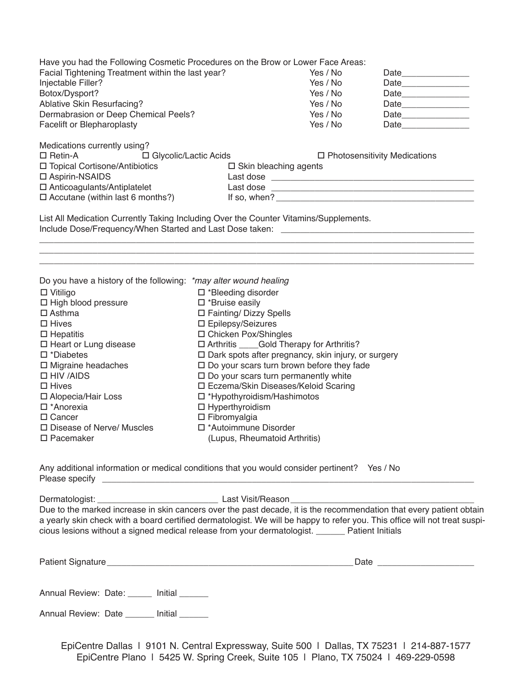| Have you had the Following Cosmetic Procedures on the Brow or Lower Face Areas:   |                               |                                                       |                                     |
|-----------------------------------------------------------------------------------|-------------------------------|-------------------------------------------------------|-------------------------------------|
| Facial Tightening Treatment within the last year?                                 | Yes / No                      | Date________________                                  |                                     |
| Injectable Filler?                                                                | Yes / No                      | Date_______________                                   |                                     |
| Botox/Dysport?                                                                    | Yes / No                      | Date                                                  |                                     |
| Ablative Skin Resurfacing?                                                        |                               | Yes / No                                              |                                     |
| Dermabrasion or Deep Chemical Peels?                                              |                               | Yes / No                                              |                                     |
| Facelift or Blepharoplasty                                                        |                               | Yes / No                                              | Date _____________                  |
| Medications currently using?                                                      |                               |                                                       |                                     |
| □ Retin-A                                                                         | □ Glycolic/Lactic Acids       |                                                       | $\Box$ Photosensitivity Medications |
| □ Topical Cortisone/Antibiotics                                                   |                               | □ Skin bleaching agents                               |                                     |
| □ Aspirin-NSAIDS                                                                  |                               |                                                       |                                     |
| □ Anticoagulants/Antiplatelet                                                     |                               |                                                       |                                     |
| $\Box$ Accutane (within last 6 months?)                                           |                               |                                                       |                                     |
| Include Dose/Frequency/When Started and Last Dose taken: ________________________ |                               |                                                       |                                     |
| Do you have a history of the following: *may alter wound healing                  |                               |                                                       |                                     |
| $\Box$ Vitiligo                                                                   | □ *Bleeding disorder          |                                                       |                                     |
| □ High blood pressure                                                             | □ *Bruise easily              |                                                       |                                     |
| $\Box$ Asthma                                                                     | □ Fainting/ Dizzy Spells      |                                                       |                                     |
| $\Box$ Hives                                                                      | □ Epilepsy/Seizures           |                                                       |                                     |
| $\Box$ Hepatitis                                                                  | □ Chicken Pox/Shingles        |                                                       |                                     |
| $\Box$ Heart or Lung disease                                                      |                               | □ Arthritis _____Gold Therapy for Arthritis?          |                                     |
| $\square$ *Diabetes                                                               |                               | □ Dark spots after pregnancy, skin injury, or surgery |                                     |
| $\Box$ Migraine headaches                                                         |                               | $\Box$ Do your scars turn brown before they fade      |                                     |
| $\Box$ HIV /AIDS                                                                  |                               | $\square$ Do your scars turn permanently white        |                                     |
| $\Box$ Hives                                                                      |                               | □ Eczema/Skin Diseases/Keloid Scaring                 |                                     |
| □ Alopecia/Hair Loss                                                              | □ *Hypothyroidism/Hashimotos  |                                                       |                                     |
| □ *Anorexia                                                                       | $\Box$ Hyperthyroidism        |                                                       |                                     |
| □ Cancer                                                                          | $\Box$ Fibromyalgia           |                                                       |                                     |
| □ Disease of Nerve/ Muscles                                                       | □ *Autoimmune Disorder        |                                                       |                                     |
| $\Box$ Pacemaker                                                                  | (Lupus, Rheumatoid Arthritis) |                                                       |                                     |

Any additional information or medical conditions that you would consider pertinent? Yes / No Please specify **Example 20** Figure 3. The set of  $\theta$  and  $\theta$  and  $\theta$  and  $\theta$  and  $\theta$  and  $\theta$  and  $\theta$  and  $\theta$  and  $\theta$  and  $\theta$  and  $\theta$  and  $\theta$  and  $\theta$  and  $\theta$  and  $\theta$  and  $\theta$  and  $\theta$  and  $\theta$  and  $\theta$  and  $\$ 

Dermatologist: \_\_\_\_\_\_\_\_\_\_\_\_\_\_\_\_\_\_\_\_\_\_\_\_\_ Last Visit/Reason\_\_\_\_\_\_\_\_\_\_\_\_\_\_\_\_\_\_\_\_\_\_\_\_\_\_\_\_\_\_\_\_\_\_\_\_\_\_

Due to the marked increase in skin cancers over the past decade, it is the recommendation that every patient obtain a yearly skin check with a board certified dermatologist. We will be happy to refer you. This office will not treat suspicious lesions without a signed medical release from your dermatologist. \_\_\_\_\_\_ Patient Initials

| <b>Dotiont</b><br>atlent Signatur<br>.<br>. . | 21 I C<br>້ |
|-----------------------------------------------|-------------|
|                                               |             |

Annual Review: Date: \_\_\_\_\_ Initial \_\_\_\_\_\_

Annual Review: Date \_\_\_\_\_\_ Initial \_\_\_\_\_\_